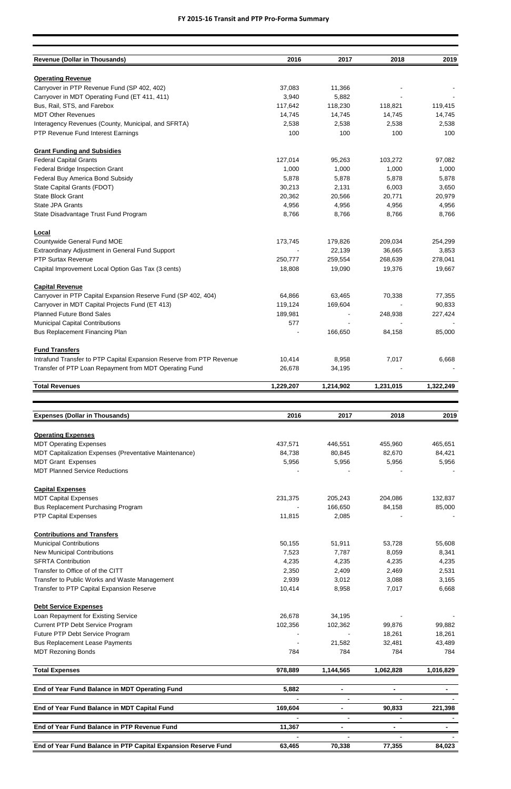| <b>Revenue (Dollar in Thousands)</b>                                    | 2016      | 2017      | 2018      | 2019      |
|-------------------------------------------------------------------------|-----------|-----------|-----------|-----------|
|                                                                         |           |           |           |           |
| <b>Operating Revenue</b><br>Carryover in PTP Revenue Fund (SP 402, 402) | 37,083    | 11,366    |           |           |
| Carryover in MDT Operating Fund (ET 411, 411)                           | 3,940     | 5,882     |           |           |
| Bus, Rail, STS, and Farebox                                             | 117,642   | 118,230   | 118,821   | 119,415   |
| <b>MDT Other Revenues</b>                                               | 14,745    | 14,745    | 14,745    | 14,745    |
| Interagency Revenues (County, Municipal, and SFRTA)                     | 2,538     | 2,538     | 2,538     | 2,538     |
| PTP Revenue Fund Interest Earnings                                      | 100       | 100       | 100       | 100       |
| <b>Grant Funding and Subsidies</b>                                      |           |           |           |           |
| <b>Federal Capital Grants</b>                                           | 127,014   | 95,263    | 103,272   | 97,082    |
| Federal Bridge Inspection Grant                                         | 1,000     | 1,000     | 1,000     | 1,000     |
| Federal Buy America Bond Subsidy                                        | 5,878     | 5,878     | 5,878     | 5,878     |
| State Capital Grants (FDOT)                                             | 30,213    | 2,131     | 6,003     | 3,650     |
| State Block Grant                                                       | 20,362    | 20,566    | 20,771    | 20,979    |
| <b>State JPA Grants</b>                                                 | 4,956     | 4,956     | 4,956     | 4,956     |
| State Disadvantage Trust Fund Program                                   | 8,766     | 8,766     | 8,766     | 8,766     |
| Local                                                                   |           |           |           |           |
| Countywide General Fund MOE                                             | 173,745   | 179,826   | 209,034   | 254,299   |
| Extraordinary Adjustment in General Fund Support                        |           | 22,139    | 36,665    | 3,853     |
| <b>PTP Surtax Revenue</b>                                               | 250,777   | 259,554   | 268,639   | 278,041   |
| Capital Improvement Local Option Gas Tax (3 cents)                      | 18,808    | 19,090    | 19,376    | 19,667    |
| <b>Capital Revenue</b>                                                  |           |           |           |           |
| Carryover in PTP Capital Expansion Reserve Fund (SP 402, 404)           | 64,866    | 63,465    | 70,338    | 77,355    |
| Carryover in MDT Capital Projects Fund (ET 413)                         | 119,124   | 169,604   |           | 90,833    |
| <b>Planned Future Bond Sales</b>                                        | 189,981   |           | 248,938   | 227,424   |
| <b>Municipal Capital Contributions</b>                                  | 577       |           |           |           |
| <b>Bus Replacement Financing Plan</b>                                   |           | 166,650   | 84,158    | 85,000    |
| <b>Fund Transfers</b>                                                   |           |           |           |           |
| Intrafund Transfer to PTP Capital Expansion Reserve from PTP Revenue    | 10,414    | 8,958     | 7,017     | 6,668     |
| Transfer of PTP Loan Repayment from MDT Operating Fund                  | 26,678    | 34,195    |           |           |
| <b>Total Revenues</b>                                                   | 1,229,207 | 1,214,902 | 1,231,015 | 1,322,249 |
|                                                                         |           |           |           |           |
| <b>Expenses (Dollar in Thousands)</b>                                   | 2016      | 2017      | 2018      | 2019      |
| <b>Operating Expenses</b>                                               |           |           |           |           |
| <b>MDT Operating Expenses</b>                                           | 437,571   | 446,551   | 455,960   | 465,651   |
| MDT Capitalization Expenses (Preventative Maintenance)                  | 84,738    | 80,845    | 82,670    | 84,421    |
| <b>MDT Grant Expenses</b>                                               | 5,956     | 5,956     | 5,956     | 5,956     |
| <b>MDT Planned Service Reductions</b>                                   |           |           |           |           |
| <b>Capital Expenses</b>                                                 |           |           |           |           |
| <b>MDT Capital Expenses</b>                                             | 231,375   | 205,243   | 204,086   | 132,837   |
| Bus Replacement Purchasing Program                                      |           | 166,650   | 84,158    | 85,000    |
| <b>PTP Capital Expenses</b>                                             | 11,815    | 2,085     |           |           |
| <b>Contributions and Transfers</b>                                      |           |           |           |           |
| <b>Municipal Contributions</b>                                          | 50,155    | 51,911    | 53,728    | 55,608    |
| <b>New Municipal Contributions</b>                                      | 7,523     | 7,787     | 8,059     | 8,341     |
| <b>SFRTA Contribution</b>                                               | 4,235     | 4,235     | 4,235     | 4,235     |
| Transfer to Office of of the CITT                                       | 2,350     | 2,409     | 2,469     | 2,531     |

| Transfer to Public Works and Waste Management                  | 2,939   | 3,012     | 3,088     | 3,165     |
|----------------------------------------------------------------|---------|-----------|-----------|-----------|
| Transfer to PTP Capital Expansion Reserve                      | 10,414  | 8,958     | 7,017     | 6,668     |
| <b>Debt Service Expenses</b>                                   |         |           |           |           |
| Loan Repayment for Existing Service                            | 26,678  | 34,195    |           |           |
| Current PTP Debt Service Program                               | 102,356 | 102,362   | 99,876    | 99,882    |
| Future PTP Debt Service Program                                |         |           | 18,261    | 18,261    |
| <b>Bus Replacement Lease Payments</b>                          |         | 21,582    | 32,481    | 43,489    |
| <b>MDT Rezoning Bonds</b>                                      | 784     | 784       | 784       | 784       |
| <b>Total Expenses</b>                                          | 978,889 | 1,144,565 | 1,062,828 | 1,016,829 |
| End of Year Fund Balance in MDT Operating Fund                 | 5,882   |           |           |           |
|                                                                |         |           |           |           |
| End of Year Fund Balance in MDT Capital Fund                   | 169,604 |           | 90,833    | 221,398   |
|                                                                |         |           |           |           |
| End of Year Fund Balance in PTP Revenue Fund                   | 11,367  |           |           |           |
|                                                                |         |           |           |           |
| End of Year Fund Balance in PTP Capital Expansion Reserve Fund | 63,465  | 70,338    | 77,355    | 84,023    |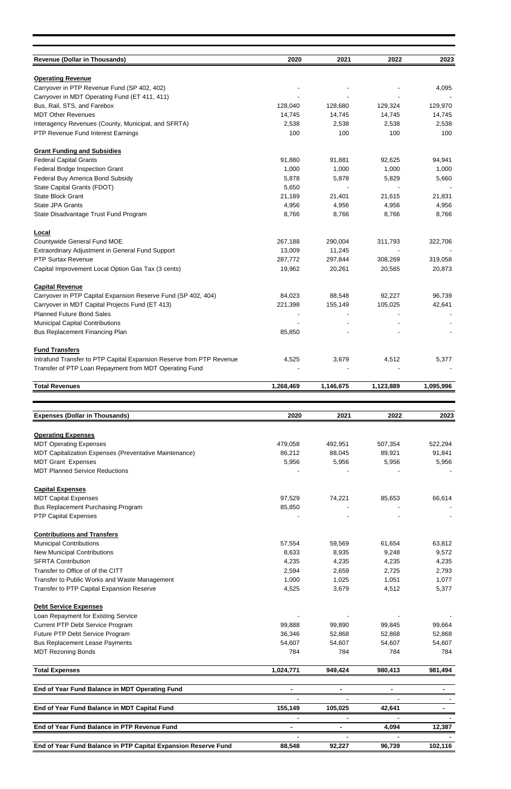| <b>Revenue (Dollar in Thousands)</b>                                                                             | 2020              | 2021              | 2022              | 2023              |
|------------------------------------------------------------------------------------------------------------------|-------------------|-------------------|-------------------|-------------------|
|                                                                                                                  |                   |                   |                   |                   |
| <b>Operating Revenue</b>                                                                                         |                   |                   |                   |                   |
| Carryover in PTP Revenue Fund (SP 402, 402)                                                                      |                   |                   |                   | 4,095             |
| Carryover in MDT Operating Fund (ET 411, 411)<br>Bus, Rail, STS, and Farebox                                     | 128,040           | 128,680           | 129,324           | 129,970           |
| <b>MDT Other Revenues</b>                                                                                        | 14,745            | 14,745            | 14,745            | 14,745            |
| Interagency Revenues (County, Municipal, and SFRTA)                                                              | 2,538             | 2,538             | 2,538             | 2,538             |
| PTP Revenue Fund Interest Earnings                                                                               | 100               | 100               | 100               | 100               |
| <b>Grant Funding and Subsidies</b>                                                                               |                   |                   |                   |                   |
| <b>Federal Capital Grants</b>                                                                                    | 91,880            | 91,881            | 92,625            | 94,941            |
| Federal Bridge Inspection Grant                                                                                  | 1,000             | 1,000             | 1,000             | 1,000             |
| Federal Buy America Bond Subsidy<br>State Capital Grants (FDOT)                                                  | 5,878<br>5,650    | 5,878             | 5,829             | 5,660             |
| State Block Grant                                                                                                | 21,189            | 21,401            | 21,615            | 21,831            |
| <b>State JPA Grants</b>                                                                                          | 4,956             | 4,956             | 4,956             | 4,956             |
| State Disadvantage Trust Fund Program                                                                            | 8,766             | 8,766             | 8,766             | 8,766             |
| Local                                                                                                            |                   |                   |                   |                   |
| Countywide General Fund MOE                                                                                      | 267,188           | 290,004           | 311,793           | 322,706           |
| Extraordinary Adjustment in General Fund Support                                                                 | 13,009            | 11,245            |                   |                   |
| <b>PTP Surtax Revenue</b><br>Capital Improvement Local Option Gas Tax (3 cents)                                  | 287,772<br>19,962 | 297,844<br>20,261 | 308,269<br>20,565 | 319,058<br>20,873 |
|                                                                                                                  |                   |                   |                   |                   |
| <b>Capital Revenue</b>                                                                                           |                   |                   |                   |                   |
| Carryover in PTP Capital Expansion Reserve Fund (SP 402, 404)<br>Carryover in MDT Capital Projects Fund (ET 413) | 84,023<br>221,398 | 88,548<br>155,149 | 92,227<br>105,025 | 96,739<br>42,641  |
| <b>Planned Future Bond Sales</b>                                                                                 |                   |                   |                   |                   |
| <b>Municipal Capital Contributions</b>                                                                           |                   |                   |                   |                   |
| <b>Bus Replacement Financing Plan</b>                                                                            | 85,850            |                   |                   |                   |
| <b>Fund Transfers</b>                                                                                            |                   |                   |                   |                   |
| Intrafund Transfer to PTP Capital Expansion Reserve from PTP Revenue                                             | 4,525             | 3,679             | 4,512             | 5,377             |
| Transfer of PTP Loan Repayment from MDT Operating Fund                                                           |                   |                   |                   |                   |
| <b>Total Revenues</b>                                                                                            | 1,268,469         | 1,146,675         | 1,123,889         | 1,095,996         |
|                                                                                                                  |                   |                   |                   |                   |
| <b>Expenses (Dollar in Thousands)</b>                                                                            | 2020              | 2021              | 2022              | 2023              |
|                                                                                                                  |                   |                   |                   |                   |
|                                                                                                                  |                   |                   |                   |                   |
| <b>Operating Expenses</b><br><b>MDT Operating Expenses</b>                                                       | 479,058           | 492,951           | 507,354           | 522,294           |
| MDT Capitalization Expenses (Preventative Maintenance)                                                           | 86,212            | 88,045            | 89,921            | 91,841            |
| <b>MDT Grant Expenses</b>                                                                                        | 5,956             | 5,956             | 5,956             | 5,956             |
| <b>MDT Planned Service Reductions</b>                                                                            |                   |                   |                   |                   |
| <b>Capital Expenses</b>                                                                                          |                   |                   |                   |                   |
| <b>MDT Capital Expenses</b>                                                                                      | 97,529            | 74,221            | 85,653            | 66,614            |
| <b>Bus Replacement Purchasing Program</b>                                                                        | 85,850            |                   |                   |                   |
| <b>PTP Capital Expenses</b>                                                                                      |                   |                   |                   |                   |
| <b>Contributions and Transfers</b>                                                                               |                   |                   |                   |                   |
| <b>Municipal Contributions</b>                                                                                   | 57,554            | 59,569            | 61,654            | 63,812            |
| <b>New Municipal Contributions</b><br><b>SFRTA Contribution</b>                                                  | 8,633<br>4,235    | 8,935<br>4,235    | 9,248<br>4,235    | 9,572<br>4,235    |
| Transfer to Office of of the CITT                                                                                | 2,594             | 2,659             | 2,725             | 2,793             |
| Transfer to Public Works and Waste Management                                                                    | 1,000             | 1,025             | 1,051             | 1,077             |
| Transfer to PTP Capital Expansion Reserve                                                                        | 4,525             | 3,679             | 4,512             | 5,377             |
| <b>Debt Service Expenses</b>                                                                                     |                   |                   |                   |                   |
| Loan Repayment for Existing Service                                                                              |                   |                   |                   |                   |
| Current PTP Debt Service Program                                                                                 | 99,888            | 99,890            | 99,845            | 99,664            |
| Future PTP Debt Service Program<br><b>Bus Replacement Lease Payments</b>                                         | 36,346<br>54,607  | 52,868<br>54,607  | 52,868<br>54,607  | 52,868<br>54,607  |
| <b>MDT Rezoning Bonds</b>                                                                                        | 784               | 784               | 784               | 784               |
| <b>Total Expenses</b>                                                                                            | 1,024,771         | 949,424           | 980,413           | 981,494           |
|                                                                                                                  |                   |                   |                   |                   |
| End of Year Fund Balance in MDT Operating Fund                                                                   |                   |                   |                   |                   |
| End of Year Fund Balance in MDT Capital Fund                                                                     | 155,149           | 105,025           | 42,641            |                   |
| End of Year Fund Balance in PTP Revenue Fund                                                                     |                   | ۰                 | 4,094             | 12,387            |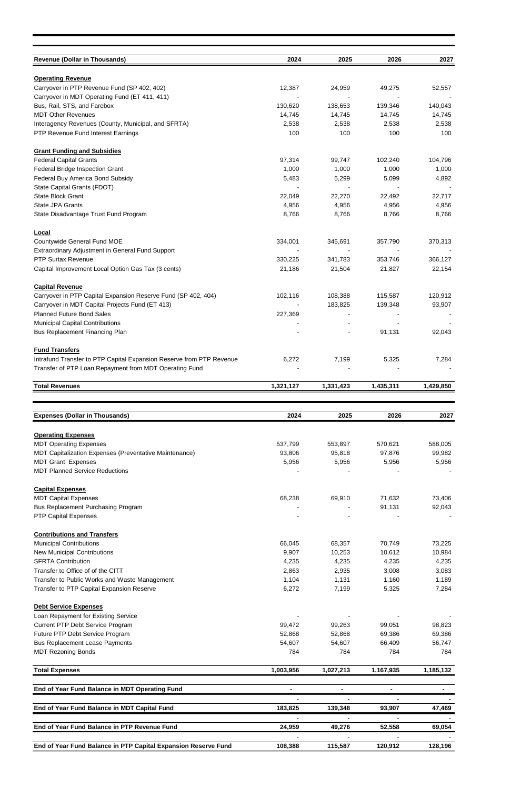| <b>Revenue (Dollar in Thousands)</b>                                                          | 2024            | 2025            | 2026             | 2027             |
|-----------------------------------------------------------------------------------------------|-----------------|-----------------|------------------|------------------|
| <b>Operating Revenue</b>                                                                      |                 |                 |                  |                  |
| Carryover in PTP Revenue Fund (SP 402, 402)<br>Carryover in MDT Operating Fund (ET 411, 411)  | 12,387          | 24,959          | 49,275           | 52,557           |
| Bus, Rail, STS, and Farebox                                                                   | 130,620         | 138,653         | 139,346          | 140,043          |
| <b>MDT Other Revenues</b>                                                                     | 14,745          | 14,745          | 14,745           | 14,745           |
| Interagency Revenues (County, Municipal, and SFRTA)<br>PTP Revenue Fund Interest Earnings     | 2,538<br>100    | 2,538<br>100    | 2,538<br>100     | 2,538<br>100     |
|                                                                                               |                 |                 |                  |                  |
| <b>Grant Funding and Subsidies</b>                                                            |                 |                 |                  |                  |
| <b>Federal Capital Grants</b><br>Federal Bridge Inspection Grant                              | 97,314<br>1,000 | 99,747<br>1,000 | 102,240<br>1,000 | 104,796<br>1,000 |
| Federal Buy America Bond Subsidy                                                              | 5,483           | 5,299           | 5,099            | 4,892            |
| State Capital Grants (FDOT)                                                                   |                 |                 |                  |                  |
| <b>State Block Grant</b>                                                                      | 22,049          | 22,270          | 22,492           | 22,717           |
| State JPA Grants<br>State Disadvantage Trust Fund Program                                     | 4,956<br>8,766  | 4,956<br>8,766  | 4,956<br>8,766   | 4,956<br>8,766   |
|                                                                                               |                 |                 |                  |                  |
| Local                                                                                         |                 |                 |                  |                  |
| Countywide General Fund MOE<br>Extraordinary Adjustment in General Fund Support               | 334,001         | 345,691         | 357,790          | 370,313          |
| <b>PTP Surtax Revenue</b>                                                                     | 330,225         | 341,783         | 353,746          | 366,127          |
| Capital Improvement Local Option Gas Tax (3 cents)                                            | 21,186          | 21,504          | 21,827           | 22,154           |
| <b>Capital Revenue</b>                                                                        |                 |                 |                  |                  |
| Carryover in PTP Capital Expansion Reserve Fund (SP 402, 404)                                 | 102,116         | 108,388         | 115,587          | 120,912          |
| Carryover in MDT Capital Projects Fund (ET 413)                                               |                 | 183,825         | 139,348          | 93,907           |
| <b>Planned Future Bond Sales</b><br><b>Municipal Capital Contributions</b>                    | 227,369         |                 |                  |                  |
| Bus Replacement Financing Plan                                                                |                 |                 | 91,131           | 92,043           |
|                                                                                               |                 |                 |                  |                  |
| <b>Fund Transfers</b><br>Intrafund Transfer to PTP Capital Expansion Reserve from PTP Revenue | 6,272           | 7,199           | 5,325            | 7,284            |
| Transfer of PTP Loan Repayment from MDT Operating Fund                                        |                 |                 |                  |                  |
| <b>Total Revenues</b>                                                                         |                 |                 | 1,435,311        |                  |
|                                                                                               | 1,321,127       | 1,331,423       |                  | 1,429,850        |
|                                                                                               |                 |                 |                  |                  |
|                                                                                               |                 |                 |                  |                  |
| <b>Expenses (Dollar in Thousands)</b>                                                         | 2024            | 2025            | 2026             | 2027             |
| <b>Operating Expenses</b>                                                                     |                 |                 |                  |                  |
| <b>MDT Operating Expenses</b>                                                                 | 537,799         | 553,897         | 570,621          | 588,005          |
| MDT Capitalization Expenses (Preventative Maintenance)                                        | 93,806          | 95,818          | 97,876           | 99,982           |
| <b>MDT Grant Expenses</b><br><b>MDT Planned Service Reductions</b>                            | 5,956           | 5,956           | 5,956            | 5,956            |
|                                                                                               |                 |                 |                  |                  |
| <b>Capital Expenses</b>                                                                       |                 |                 |                  |                  |
| <b>MDT Capital Expenses</b><br><b>Bus Replacement Purchasing Program</b>                      | 68,238          | 69,910          | 71,632<br>91,131 | 73,406<br>92,043 |
| <b>PTP Capital Expenses</b>                                                                   |                 |                 |                  |                  |
|                                                                                               |                 |                 |                  |                  |
| <b>Contributions and Transfers</b><br><b>Municipal Contributions</b>                          | 66,045          | 68,357          | 70,749           | 73,225           |
| <b>New Municipal Contributions</b>                                                            | 9,907           | 10,253          | 10,612           | 10,984           |
| <b>SFRTA Contribution</b>                                                                     | 4,235           | 4,235           | 4,235            | 4,235            |
| Transfer to Office of of the CITT                                                             | 2,863           | 2,935           | 3,008            | 3,083            |
| Transfer to Public Works and Waste Management<br>Transfer to PTP Capital Expansion Reserve    | 1,104<br>6,272  | 1,131<br>7,199  | 1,160<br>5,325   | 1,189<br>7,284   |
|                                                                                               |                 |                 |                  |                  |
| <b>Debt Service Expenses</b><br>Loan Repayment for Existing Service                           |                 |                 |                  |                  |
| Current PTP Debt Service Program                                                              | 99,472          | 99,263          | 99,051           | 98,823           |
| Future PTP Debt Service Program                                                               | 52,868          | 52,868          | 69,386           | 69,386           |
| <b>Bus Replacement Lease Payments</b>                                                         | 54,607          | 54,607          | 66,409           | 56,747           |
| <b>MDT Rezoning Bonds</b>                                                                     | 784             | 784             | 784              | 784              |
| <b>Total Expenses</b>                                                                         | 1,003,956       | 1,027,213       | 1,167,935        | 1,185,132        |
| End of Year Fund Balance in MDT Operating Fund                                                |                 |                 |                  |                  |
|                                                                                               |                 |                 |                  |                  |
| End of Year Fund Balance in MDT Capital Fund                                                  | 183,825         | 139,348         | 93,907           | 47,469           |
| End of Year Fund Balance in PTP Revenue Fund                                                  | 24,959          | 49,276          | 52,558           | 69,054           |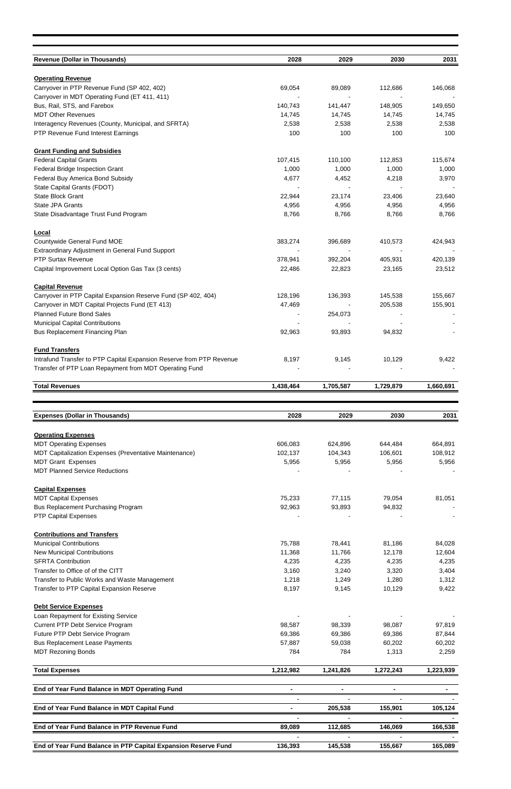| <b>Revenue (Dollar in Thousands)</b>                                                         | 2028               | 2029               | 2030               | 2031               |
|----------------------------------------------------------------------------------------------|--------------------|--------------------|--------------------|--------------------|
| <b>Operating Revenue</b>                                                                     |                    |                    |                    |                    |
| Carryover in PTP Revenue Fund (SP 402, 402)<br>Carryover in MDT Operating Fund (ET 411, 411) | 69,054             | 89,089             | 112,686            | 146,068            |
| Bus, Rail, STS, and Farebox                                                                  | 140,743            | 141,447            | 148,905            | 149,650            |
| <b>MDT Other Revenues</b>                                                                    | 14,745             | 14,745             | 14,745             | 14,745             |
| Interagency Revenues (County, Municipal, and SFRTA)                                          | 2,538              | 2,538              | 2,538              | 2,538              |
| PTP Revenue Fund Interest Earnings                                                           | 100                | 100                | 100                | 100                |
| <b>Grant Funding and Subsidies</b>                                                           |                    |                    |                    |                    |
| <b>Federal Capital Grants</b>                                                                | 107,415            | 110,100            | 112,853            | 115,674            |
| Federal Bridge Inspection Grant                                                              | 1,000              | 1,000              | 1,000              | 1,000              |
| Federal Buy America Bond Subsidy<br>State Capital Grants (FDOT)                              | 4,677              | 4,452              | 4,218              | 3,970              |
| <b>State Block Grant</b>                                                                     | 22,944             | 23,174             | 23,406             | 23,640             |
| State JPA Grants                                                                             | 4,956              | 4,956              | 4,956              | 4,956              |
| State Disadvantage Trust Fund Program                                                        | 8,766              | 8,766              | 8,766              | 8,766              |
| Local                                                                                        |                    |                    |                    |                    |
| Countywide General Fund MOE                                                                  | 383,274            | 396,689            | 410,573            | 424,943            |
| Extraordinary Adjustment in General Fund Support                                             |                    |                    |                    |                    |
| <b>PTP Surtax Revenue</b>                                                                    | 378,941            | 392,204            | 405,931            | 420,139            |
| Capital Improvement Local Option Gas Tax (3 cents)                                           | 22,486             | 22,823             | 23,165             | 23,512             |
| <b>Capital Revenue</b>                                                                       |                    |                    |                    |                    |
| Carryover in PTP Capital Expansion Reserve Fund (SP 402, 404)                                | 128,196            | 136,393            | 145,538            | 155,667            |
| Carryover in MDT Capital Projects Fund (ET 413)                                              | 47,469             |                    | 205,538            | 155,901            |
| <b>Planned Future Bond Sales</b><br><b>Municipal Capital Contributions</b>                   |                    | 254,073            |                    |                    |
| <b>Bus Replacement Financing Plan</b>                                                        | 92,963             | 93,893             | 94,832             |                    |
|                                                                                              |                    |                    |                    |                    |
| <b>Fund Transfers</b>                                                                        |                    |                    |                    |                    |
| Intrafund Transfer to PTP Capital Expansion Reserve from PTP Revenue                         | 8,197              | 9,145              | 10,129             | 9,422              |
| Transfer of PTP Loan Repayment from MDT Operating Fund                                       |                    |                    |                    |                    |
| <b>Total Revenues</b>                                                                        | 1,438,464          | 1,705,587          | 1,729,879          | 1,660,691          |
|                                                                                              |                    |                    |                    |                    |
|                                                                                              |                    |                    |                    |                    |
| <b>Expenses (Dollar in Thousands)</b>                                                        | 2028               | 2029               | 2030               | 2031               |
|                                                                                              |                    |                    |                    |                    |
| <b>Operating Expenses</b>                                                                    |                    |                    |                    |                    |
| <b>MDT Operating Expenses</b><br>MDT Capitalization Expenses (Preventative Maintenance)      | 606,083<br>102,137 | 624,896<br>104,343 | 644,484<br>106,601 | 664,891<br>108,912 |
| <b>MDT Grant Expenses</b>                                                                    | 5,956              | 5,956              | 5,956              | 5,956              |
| <b>MDT Planned Service Reductions</b>                                                        |                    |                    |                    |                    |
| <b>Capital Expenses</b>                                                                      |                    |                    |                    |                    |
| <b>MDT Capital Expenses</b>                                                                  | 75,233             | 77,115             | 79,054             | 81,051             |
| <b>Bus Replacement Purchasing Program</b>                                                    | 92,963             | 93,893             | 94,832             |                    |
| <b>PTP Capital Expenses</b>                                                                  |                    |                    |                    |                    |
| <b>Contributions and Transfers</b>                                                           |                    |                    |                    |                    |
| <b>Municipal Contributions</b>                                                               | 75,788             | 78,441             | 81,186             | 84,028             |
| <b>New Municipal Contributions</b>                                                           | 11,368             | 11,766             | 12,178             | 12,604             |
| <b>SFRTA Contribution</b><br>Transfer to Office of of the CITT                               | 4,235              | 4,235              | 4,235              | 4,235              |
| Transfer to Public Works and Waste Management                                                | 3,160<br>1,218     | 3,240<br>1,249     | 3,320<br>1,280     | 3,404<br>1,312     |
| Transfer to PTP Capital Expansion Reserve                                                    | 8,197              | 9,145              | 10,129             | 9,422              |
|                                                                                              |                    |                    |                    |                    |
| <b>Debt Service Expenses</b><br>Loan Repayment for Existing Service                          |                    |                    |                    |                    |
| Current PTP Debt Service Program                                                             | 98,587             | 98,339             | 98,087             | 97,819             |
| Future PTP Debt Service Program                                                              | 69,386             | 69,386             | 69,386             | 87,844             |
| <b>Bus Replacement Lease Payments</b>                                                        | 57,887             | 59,038             | 60,202             | 60,202             |
| <b>MDT Rezoning Bonds</b>                                                                    | 784                | 784                | 1,313              | 2,259              |
| <b>Total Expenses</b>                                                                        | 1,212,982          | 1,241,826          | 1,272,243          | 1,223,939          |
| End of Year Fund Balance in MDT Operating Fund                                               | $\blacksquare$     | $\blacksquare$     |                    |                    |
|                                                                                              |                    |                    |                    |                    |
| End of Year Fund Balance in MDT Capital Fund                                                 | $\blacksquare$     | 205,538            | 155,901            | 105,124            |
| End of Year Fund Balance in PTP Revenue Fund                                                 | 89,089             | 112,685            | 146,069            | 166,538            |
| End of Year Fund Balance in PTP Capital Expansion Reserve Fund                               | 136,393            | 145,538            | 155,667            | 165,089            |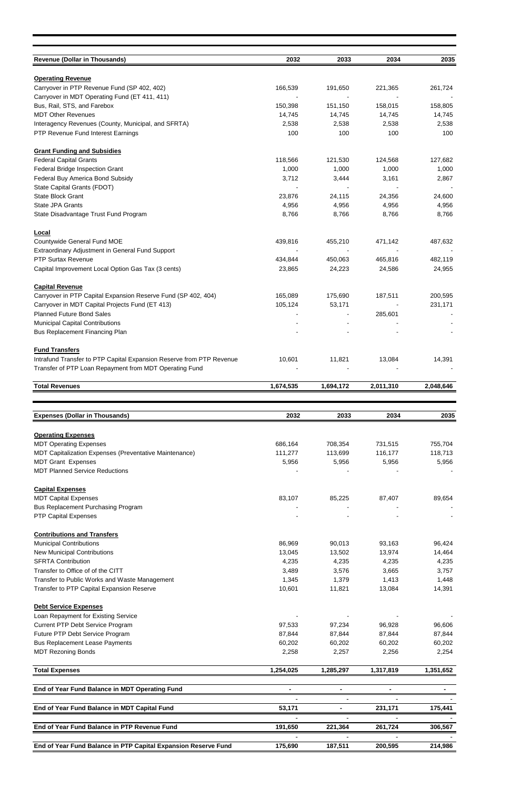| <b>Revenue (Dollar in Thousands)</b>                                                                                           | 2032             | 2033             | 2034             | 2035             |
|--------------------------------------------------------------------------------------------------------------------------------|------------------|------------------|------------------|------------------|
|                                                                                                                                |                  |                  |                  |                  |
| <b>Operating Revenue</b>                                                                                                       |                  |                  |                  |                  |
| Carryover in PTP Revenue Fund (SP 402, 402)<br>Carryover in MDT Operating Fund (ET 411, 411)                                   | 166,539          | 191,650          | 221,365          | 261,724          |
| Bus, Rail, STS, and Farebox                                                                                                    | 150,398          | 151,150          | 158,015          | 158,805          |
| <b>MDT Other Revenues</b>                                                                                                      | 14,745           | 14,745           | 14,745           | 14,745           |
| Interagency Revenues (County, Municipal, and SFRTA)                                                                            | 2,538            | 2,538            | 2,538            | 2,538            |
| PTP Revenue Fund Interest Earnings                                                                                             | 100              | 100              | 100              | 100              |
| <b>Grant Funding and Subsidies</b>                                                                                             |                  |                  |                  |                  |
| <b>Federal Capital Grants</b>                                                                                                  | 118,566          | 121,530          | 124,568          | 127,682          |
| Federal Bridge Inspection Grant                                                                                                | 1,000            | 1,000            | 1,000            | 1,000            |
| Federal Buy America Bond Subsidy<br>State Capital Grants (FDOT)                                                                | 3,712            | 3,444            | 3,161            | 2,867            |
| <b>State Block Grant</b>                                                                                                       | 23,876           | 24,115           | 24,356           | 24,600           |
| State JPA Grants                                                                                                               | 4,956            | 4,956            | 4,956            | 4,956            |
| State Disadvantage Trust Fund Program                                                                                          | 8,766            | 8,766            | 8,766            | 8,766            |
| Local                                                                                                                          |                  |                  |                  |                  |
| Countywide General Fund MOE                                                                                                    | 439,816          | 455,210          | 471,142          | 487,632          |
| Extraordinary Adjustment in General Fund Support                                                                               |                  |                  |                  |                  |
| <b>PTP Surtax Revenue</b>                                                                                                      | 434,844          | 450,063          | 465,816          | 482,119          |
| Capital Improvement Local Option Gas Tax (3 cents)                                                                             | 23,865           | 24,223           | 24,586           | 24,955           |
| <b>Capital Revenue</b>                                                                                                         |                  |                  |                  |                  |
| Carryover in PTP Capital Expansion Reserve Fund (SP 402, 404)                                                                  | 165,089          | 175,690          | 187,511          | 200,595          |
| Carryover in MDT Capital Projects Fund (ET 413)                                                                                | 105,124          | 53,171           |                  | 231,171          |
| <b>Planned Future Bond Sales</b>                                                                                               |                  |                  | 285,601          |                  |
| <b>Municipal Capital Contributions</b>                                                                                         |                  |                  |                  |                  |
| Bus Replacement Financing Plan                                                                                                 |                  |                  |                  |                  |
| <b>Fund Transfers</b>                                                                                                          |                  |                  |                  |                  |
| Intrafund Transfer to PTP Capital Expansion Reserve from PTP Revenue<br>Transfer of PTP Loan Repayment from MDT Operating Fund | 10,601           | 11,821           | 13,084           | 14,391           |
|                                                                                                                                |                  |                  |                  |                  |
| <b>Total Revenues</b>                                                                                                          | 1,674,535        | 1,694,172        | 2,011,310        | 2,048,646        |
|                                                                                                                                | 2032             |                  | 2034             |                  |
| <b>Expenses (Dollar in Thousands)</b>                                                                                          |                  | 2033             |                  |                  |
|                                                                                                                                |                  |                  |                  | 2035             |
| <b>Operating Expenses</b>                                                                                                      |                  |                  |                  |                  |
| <b>MDT Operating Expenses</b>                                                                                                  | 686,164          | 708,354          | 731,515          | 755,704          |
| MDT Capitalization Expenses (Preventative Maintenance)                                                                         | 111,277          | 113,699          | 116,177          | 118,713          |
| <b>MDT Grant Expenses</b><br><b>MDT Planned Service Reductions</b>                                                             | 5,956            | 5,956            | 5,956            | 5,956            |
|                                                                                                                                |                  |                  |                  |                  |
| <b>Capital Expenses</b>                                                                                                        |                  |                  |                  |                  |
| <b>MDT Capital Expenses</b><br><b>Bus Replacement Purchasing Program</b>                                                       | 83,107           | 85,225           | 87,407           | 89,654           |
| <b>PTP Capital Expenses</b>                                                                                                    |                  |                  |                  |                  |
| <b>Contributions and Transfers</b>                                                                                             |                  |                  |                  |                  |
| <b>Municipal Contributions</b>                                                                                                 | 86,969           | 90,013           | 93,163           | 96,424           |
| <b>New Municipal Contributions</b>                                                                                             | 13,045           | 13,502           | 13,974           | 14,464           |
| <b>SFRTA Contribution</b>                                                                                                      | 4,235            | 4,235            | 4,235            | 4,235            |
| Transfer to Office of of the CITT                                                                                              | 3,489            | 3,576            | 3,665            | 3,757            |
| Transfer to Public Works and Waste Management<br>Transfer to PTP Capital Expansion Reserve                                     | 1,345<br>10,601  | 1,379<br>11,821  | 1,413<br>13,084  | 1,448<br>14,391  |
|                                                                                                                                |                  |                  |                  |                  |
| <b>Debt Service Expenses</b>                                                                                                   |                  |                  |                  |                  |
| Loan Repayment for Existing Service                                                                                            |                  |                  |                  |                  |
| Current PTP Debt Service Program                                                                                               | 97,533           | 97,234           | 96,928           | 96,606           |
| Future PTP Debt Service Program<br><b>Bus Replacement Lease Payments</b>                                                       | 87,844<br>60,202 | 87,844<br>60,202 | 87,844<br>60,202 | 87,844<br>60,202 |
| <b>MDT Rezoning Bonds</b>                                                                                                      | 2,258            | 2,257            | 2,256            | 2,254            |
| <b>Total Expenses</b>                                                                                                          | 1,254,025        | 1,285,297        | 1,317,819        | 1,351,652        |
|                                                                                                                                |                  |                  |                  |                  |
| End of Year Fund Balance in MDT Operating Fund                                                                                 |                  | $\blacksquare$   |                  |                  |
| End of Year Fund Balance in MDT Capital Fund                                                                                   | 53,171           | $\blacksquare$   | 231,171          | 175,441          |
| End of Year Fund Balance in PTP Revenue Fund                                                                                   | 191,650          | 221,364          | 261,724          | 306,567          |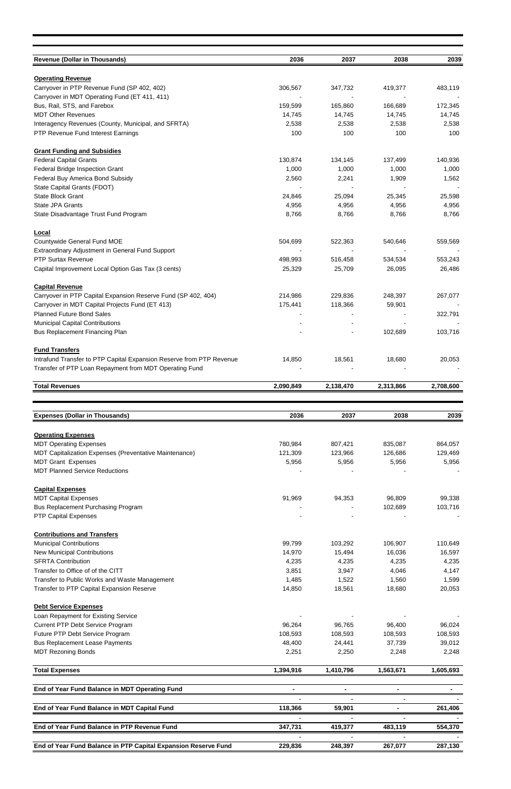| <b>Revenue (Dollar in Thousands)</b>                                                         | 2036             | 2037             | 2038             | 2039             |
|----------------------------------------------------------------------------------------------|------------------|------------------|------------------|------------------|
| <b>Operating Revenue</b>                                                                     |                  |                  |                  |                  |
| Carryover in PTP Revenue Fund (SP 402, 402)<br>Carryover in MDT Operating Fund (ET 411, 411) | 306,567          | 347,732          | 419,377          | 483,119          |
| Bus, Rail, STS, and Farebox                                                                  | 159,599          | 165,860          | 166,689          | 172,345          |
| <b>MDT Other Revenues</b>                                                                    | 14,745           | 14,745           | 14,745           | 14,745           |
| Interagency Revenues (County, Municipal, and SFRTA)<br>PTP Revenue Fund Interest Earnings    | 2,538<br>100     | 2,538<br>100     | 2,538<br>100     | 2,538<br>100     |
|                                                                                              |                  |                  |                  |                  |
| <b>Grant Funding and Subsidies</b><br><b>Federal Capital Grants</b>                          | 130,874          | 134,145          | 137,499          | 140,936          |
| Federal Bridge Inspection Grant                                                              | 1,000            | 1,000            | 1,000            | 1,000            |
| Federal Buy America Bond Subsidy                                                             | 2,560            | 2,241            | 1,909            | 1,562            |
| State Capital Grants (FDOT)<br>State Block Grant                                             | 24,846           | 25,094           | 25,345           | 25,598           |
| <b>State JPA Grants</b>                                                                      | 4,956            | 4,956            | 4,956            | 4,956            |
| State Disadvantage Trust Fund Program                                                        | 8,766            | 8,766            | 8,766            | 8,766            |
|                                                                                              |                  |                  |                  |                  |
| <b>Local</b><br>Countywide General Fund MOE                                                  | 504,699          | 522,363          | 540,646          | 559,569          |
| Extraordinary Adjustment in General Fund Support                                             |                  |                  |                  |                  |
| <b>PTP Surtax Revenue</b>                                                                    | 498,993          | 516,458          | 534,534          | 553,243          |
| Capital Improvement Local Option Gas Tax (3 cents)                                           | 25,329           | 25,709           | 26,095           | 26,486           |
| <b>Capital Revenue</b>                                                                       |                  |                  |                  |                  |
| Carryover in PTP Capital Expansion Reserve Fund (SP 402, 404)                                | 214,986          | 229,836          | 248,397          | 267,077          |
| Carryover in MDT Capital Projects Fund (ET 413)<br><b>Planned Future Bond Sales</b>          | 175,441          | 118,366          | 59,901           | 322,791          |
| <b>Municipal Capital Contributions</b>                                                       |                  |                  |                  |                  |
| <b>Bus Replacement Financing Plan</b>                                                        |                  |                  | 102,689          | 103,716          |
| <b>Fund Transfers</b>                                                                        |                  |                  |                  |                  |
| Intrafund Transfer to PTP Capital Expansion Reserve from PTP Revenue                         | 14,850           | 18,561           | 18,680           | 20,053           |
| Transfer of PTP Loan Repayment from MDT Operating Fund                                       |                  |                  |                  |                  |
| <b>Total Revenues</b>                                                                        | 2,090,849        | 2,138,470        | 2,313,866        | 2,708,600        |
|                                                                                              |                  |                  |                  |                  |
|                                                                                              |                  |                  |                  |                  |
|                                                                                              |                  |                  |                  |                  |
| <b>Expenses (Dollar in Thousands)</b>                                                        | 2036             | 2037             | 2038             | 2039             |
| <b>Operating Expenses</b>                                                                    |                  |                  |                  |                  |
| <b>MDT Operating Expenses</b>                                                                | 780,984          | 807,421          | 835,087          | 864,057          |
| MDT Capitalization Expenses (Preventative Maintenance)<br><b>MDT Grant Expenses</b>          | 121,309<br>5,956 | 123,966<br>5,956 | 126,686<br>5,956 | 129,469<br>5,956 |
| <b>MDT Planned Service Reductions</b>                                                        |                  |                  |                  |                  |
|                                                                                              |                  |                  |                  |                  |
| <b>Capital Expenses</b><br><b>MDT Capital Expenses</b>                                       | 91,969           | 94,353           | 96,809           | 99,338           |
| <b>Bus Replacement Purchasing Program</b>                                                    |                  |                  | 102,689          | 103,716          |
| <b>PTP Capital Expenses</b>                                                                  |                  |                  |                  |                  |
| <b>Contributions and Transfers</b>                                                           |                  |                  |                  |                  |
| <b>Municipal Contributions</b>                                                               | 99,799           | 103,292          | 106,907          | 110,649          |
| <b>New Municipal Contributions</b>                                                           | 14,970           | 15,494           | 16,036           | 16,597           |
| <b>SFRTA Contribution</b><br>Transfer to Office of of the CITT                               | 4,235<br>3,851   | 4,235<br>3,947   | 4,235<br>4,046   | 4,235            |
| Transfer to Public Works and Waste Management                                                | 1,485            | 1,522            | 1,560            | 4,147<br>1,599   |
| Transfer to PTP Capital Expansion Reserve                                                    | 14,850           | 18,561           | 18,680           | 20,053           |
| <b>Debt Service Expenses</b>                                                                 |                  |                  |                  |                  |
| Loan Repayment for Existing Service                                                          |                  |                  |                  |                  |
| Current PTP Debt Service Program                                                             | 96,264           | 96,765           | 96,400           | 96,024           |
| Future PTP Debt Service Program                                                              | 108,593          | 108,593          | 108,593          | 108,593          |
| <b>Bus Replacement Lease Payments</b><br><b>MDT Rezoning Bonds</b>                           | 48,400<br>2,251  | 24,441<br>2,250  | 37,739<br>2,248  | 39,012<br>2,248  |
|                                                                                              |                  |                  |                  |                  |
| <b>Total Expenses</b>                                                                        | 1,394,916        | 1,410,796        | 1,563,671        | 1,605,693        |
| End of Year Fund Balance in MDT Operating Fund                                               | ۰                | $\blacksquare$   | ۰                |                  |
| End of Year Fund Balance in MDT Capital Fund                                                 | 118,366          | 59,901           |                  | 261,406          |
|                                                                                              |                  |                  |                  |                  |
| End of Year Fund Balance in PTP Revenue Fund                                                 | 347,731          | 419,377          | 483,119          | 554,370          |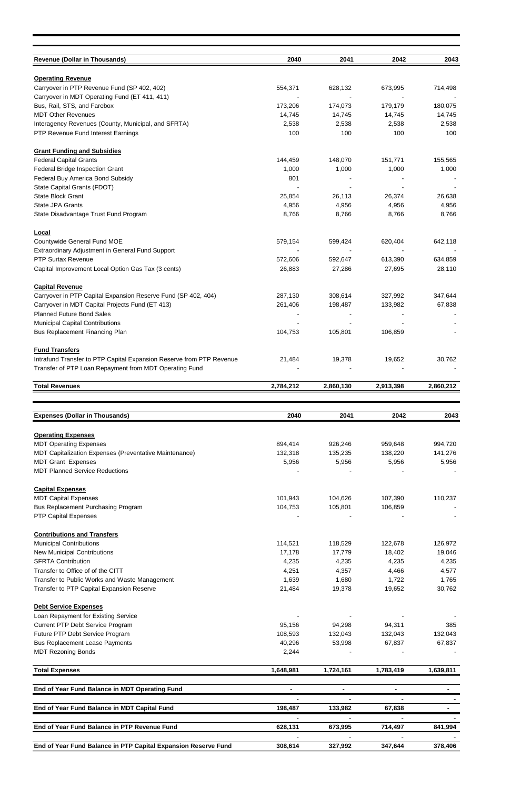| <b>Revenue (Dollar in Thousands)</b>                                                                                           | 2040               | 2041               | 2042               | 2043               |
|--------------------------------------------------------------------------------------------------------------------------------|--------------------|--------------------|--------------------|--------------------|
| <b>Operating Revenue</b>                                                                                                       |                    |                    |                    |                    |
| Carryover in PTP Revenue Fund (SP 402, 402)                                                                                    | 554,371            | 628,132            | 673,995            | 714,498            |
| Carryover in MDT Operating Fund (ET 411, 411)<br>Bus, Rail, STS, and Farebox                                                   | 173,206            | 174,073            | 179,179            | 180,075            |
| <b>MDT Other Revenues</b>                                                                                                      | 14,745             | 14,745             | 14,745             | 14,745             |
| Interagency Revenues (County, Municipal, and SFRTA)                                                                            | 2,538              | 2,538              | 2,538              | 2,538              |
| PTP Revenue Fund Interest Earnings                                                                                             | 100                | 100                | 100                | 100                |
| <b>Grant Funding and Subsidies</b>                                                                                             |                    |                    |                    |                    |
| <b>Federal Capital Grants</b>                                                                                                  | 144,459            | 148,070            | 151,771            | 155,565            |
| Federal Bridge Inspection Grant                                                                                                | 1,000              | 1,000              | 1,000              | 1,000              |
| Federal Buy America Bond Subsidy                                                                                               | 801                |                    |                    |                    |
| State Capital Grants (FDOT)<br><b>State Block Grant</b>                                                                        | 25,854             | 26,113             | 26,374             | 26,638             |
| State JPA Grants                                                                                                               | 4,956              | 4,956              | 4,956              | 4,956              |
| State Disadvantage Trust Fund Program                                                                                          | 8,766              | 8,766              | 8,766              | 8,766              |
| Local                                                                                                                          |                    |                    |                    |                    |
| <b>Countywide General Fund MOE</b>                                                                                             | 579,154            | 599,424            | 620,404            | 642,118            |
| Extraordinary Adjustment in General Fund Support                                                                               |                    |                    |                    |                    |
| <b>PTP Surtax Revenue</b>                                                                                                      | 572,606            | 592,647            | 613,390            | 634,859            |
| Capital Improvement Local Option Gas Tax (3 cents)                                                                             | 26,883             | 27,286             | 27,695             | 28,110             |
| <b>Capital Revenue</b>                                                                                                         |                    |                    |                    |                    |
| Carryover in PTP Capital Expansion Reserve Fund (SP 402, 404)                                                                  | 287,130            | 308,614            | 327,992            | 347,644            |
| Carryover in MDT Capital Projects Fund (ET 413)                                                                                | 261,406            | 198,487            | 133,982            | 67,838             |
| <b>Planned Future Bond Sales</b><br><b>Municipal Capital Contributions</b>                                                     |                    |                    |                    |                    |
| Bus Replacement Financing Plan                                                                                                 | 104,753            | 105,801            | 106,859            |                    |
|                                                                                                                                |                    |                    |                    |                    |
| <b>Fund Transfers</b>                                                                                                          |                    |                    |                    |                    |
| Intrafund Transfer to PTP Capital Expansion Reserve from PTP Revenue<br>Transfer of PTP Loan Repayment from MDT Operating Fund | 21,484             | 19,378             | 19,652             | 30,762             |
|                                                                                                                                |                    |                    |                    |                    |
| <b>Total Revenues</b>                                                                                                          | 2,784,212          | 2,860,130          | 2,913,398          | 2,860,212          |
|                                                                                                                                |                    |                    |                    |                    |
|                                                                                                                                |                    |                    |                    |                    |
| <b>Expenses (Dollar in Thousands)</b>                                                                                          | 2040               | 2041               | 2042               | 2043               |
| <b>Operating Expenses</b>                                                                                                      |                    |                    |                    |                    |
| <b>MDT Operating Expenses</b>                                                                                                  | 894,414            | 926,246            | 959,648            | 994,720            |
| MDT Capitalization Expenses (Preventative Maintenance)                                                                         | 132,318            | 135,235            | 138,220            | 141,276            |
| <b>MDT Grant Expenses</b><br><b>MDT Planned Service Reductions</b>                                                             | 5,956              | 5,956              | 5,956              | 5,956              |
|                                                                                                                                |                    |                    |                    |                    |
| <b>Capital Expenses</b>                                                                                                        |                    |                    |                    |                    |
| <b>MDT Capital Expenses</b>                                                                                                    | 101,943            | 104,626            | 107,390            | 110,237            |
| <b>Bus Replacement Purchasing Program</b><br><b>PTP Capital Expenses</b>                                                       | 104,753            | 105,801            | 106,859            |                    |
|                                                                                                                                |                    |                    |                    |                    |
| <b>Contributions and Transfers</b>                                                                                             |                    |                    |                    |                    |
| <b>Municipal Contributions</b><br><b>New Municipal Contributions</b>                                                           | 114,521<br>17,178  | 118,529<br>17,779  | 122,678<br>18,402  | 126,972<br>19,046  |
| <b>SFRTA Contribution</b>                                                                                                      | 4,235              | 4,235              | 4,235              | 4,235              |
| Transfer to Office of of the CITT                                                                                              | 4,251              | 4,357              | 4,466              | 4,577              |
| Transfer to Public Works and Waste Management                                                                                  | 1,639              | 1,680              | 1,722              | 1,765              |
| Transfer to PTP Capital Expansion Reserve                                                                                      | 21,484             | 19,378             | 19,652             | 30,762             |
| <b>Debt Service Expenses</b>                                                                                                   |                    |                    |                    |                    |
| Loan Repayment for Existing Service                                                                                            |                    |                    |                    |                    |
| Current PTP Debt Service Program                                                                                               | 95,156             | 94,298             | 94,311             | 385                |
| Future PTP Debt Service Program                                                                                                | 108,593            | 132,043            | 132,043            | 132,043            |
| <b>Bus Replacement Lease Payments</b><br><b>MDT Rezoning Bonds</b>                                                             | 40,296<br>2,244    | 53,998             | 67,837             | 67,837             |
| <b>Total Expenses</b>                                                                                                          | 1,648,981          | 1,724,161          | 1,783,419          | 1,639,811          |
|                                                                                                                                |                    |                    |                    |                    |
| End of Year Fund Balance in MDT Operating Fund                                                                                 |                    |                    |                    |                    |
| End of Year Fund Balance in MDT Capital Fund                                                                                   | 198,487            | 133,982            | 67,838             | $\blacksquare$     |
|                                                                                                                                |                    |                    |                    |                    |
| End of Year Fund Balance in PTP Revenue Fund<br>End of Year Fund Balance in PTP Capital Expansion Reserve Fund                 | 628,131<br>308,614 | 673,995<br>327,992 | 714,497<br>347,644 | 841,994<br>378,406 |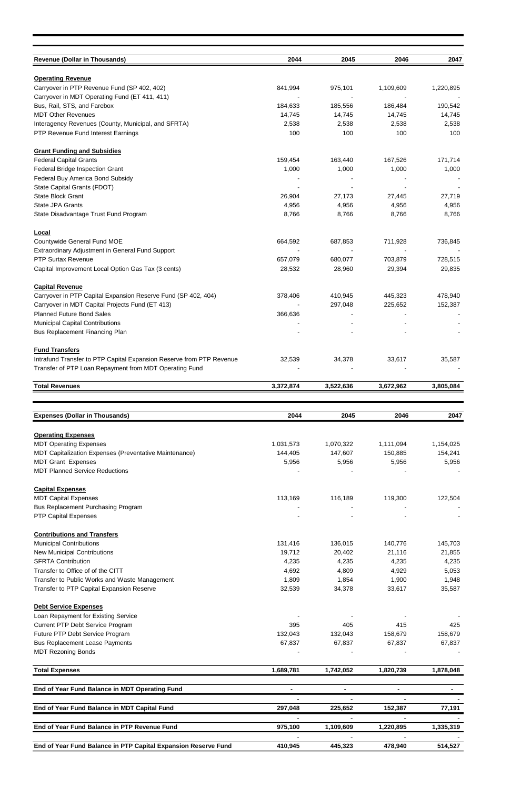| <b>Revenue (Dollar in Thousands)</b>                                                                             | 2044             | 2045               | 2046               | 2047               |
|------------------------------------------------------------------------------------------------------------------|------------------|--------------------|--------------------|--------------------|
|                                                                                                                  |                  |                    |                    |                    |
| <b>Operating Revenue</b><br>Carryover in PTP Revenue Fund (SP 402, 402)                                          | 841,994          | 975,101            | 1,109,609          | 1,220,895          |
| Carryover in MDT Operating Fund (ET 411, 411)                                                                    |                  |                    |                    |                    |
| Bus, Rail, STS, and Farebox                                                                                      | 184,633          | 185,556            | 186,484            | 190,542            |
| <b>MDT Other Revenues</b>                                                                                        | 14,745           | 14,745             | 14,745             | 14,745             |
| Interagency Revenues (County, Municipal, and SFRTA)<br>PTP Revenue Fund Interest Earnings                        | 2,538<br>100     | 2,538<br>100       | 2,538<br>100       | 2,538<br>100       |
|                                                                                                                  |                  |                    |                    |                    |
| <b>Grant Funding and Subsidies</b>                                                                               |                  |                    |                    |                    |
| <b>Federal Capital Grants</b><br>Federal Bridge Inspection Grant                                                 | 159,454<br>1,000 | 163,440<br>1,000   | 167,526<br>1,000   | 171,714<br>1,000   |
| Federal Buy America Bond Subsidy                                                                                 |                  |                    |                    |                    |
| State Capital Grants (FDOT)                                                                                      |                  |                    |                    |                    |
| State Block Grant                                                                                                | 26,904           | 27,173             | 27,445             | 27,719             |
| <b>State JPA Grants</b>                                                                                          | 4,956            | 4,956              | 4,956              | 4,956              |
| State Disadvantage Trust Fund Program                                                                            | 8,766            | 8,766              | 8,766              | 8,766              |
| <b>Local</b>                                                                                                     |                  |                    |                    |                    |
| Countywide General Fund MOE                                                                                      | 664,592          | 687,853            | 711,928            | 736,845            |
| Extraordinary Adjustment in General Fund Support<br><b>PTP Surtax Revenue</b>                                    | 657,079          | 680,077            | 703,879            | 728,515            |
| Capital Improvement Local Option Gas Tax (3 cents)                                                               | 28,532           | 28,960             | 29,394             | 29,835             |
|                                                                                                                  |                  |                    |                    |                    |
| <b>Capital Revenue</b>                                                                                           |                  |                    |                    |                    |
| Carryover in PTP Capital Expansion Reserve Fund (SP 402, 404)<br>Carryover in MDT Capital Projects Fund (ET 413) | 378,406          | 410,945<br>297,048 | 445,323<br>225,652 | 478,940<br>152,387 |
| <b>Planned Future Bond Sales</b>                                                                                 | 366,636          |                    |                    |                    |
| <b>Municipal Capital Contributions</b>                                                                           |                  |                    |                    |                    |
| Bus Replacement Financing Plan                                                                                   |                  |                    |                    |                    |
| <b>Fund Transfers</b>                                                                                            |                  |                    |                    |                    |
| Intrafund Transfer to PTP Capital Expansion Reserve from PTP Revenue                                             | 32,539           | 34,378             | 33,617             | 35,587             |
| Transfer of PTP Loan Repayment from MDT Operating Fund                                                           |                  |                    |                    |                    |
| <b>Total Revenues</b>                                                                                            | 3,372,874        | 3,522,636          | 3,672,962          | 3,805,084          |
|                                                                                                                  |                  |                    |                    |                    |
|                                                                                                                  |                  |                    |                    |                    |
|                                                                                                                  |                  |                    |                    |                    |
| <b>Expenses (Dollar in Thousands)</b>                                                                            | 2044             | 2045               | 2046               | 2047               |
| <b>Operating Expenses</b>                                                                                        |                  |                    |                    |                    |
| <b>MDT Operating Expenses</b>                                                                                    | 1,031,573        | 1,070,322          | 1,111,094          | 1,154,025          |
| MDT Capitalization Expenses (Preventative Maintenance)                                                           | 144,405          | 147,607            | 150,885            | 154,241            |
| <b>MDT Grant Expenses</b><br><b>MDT Planned Service Reductions</b>                                               | 5,956            | 5,956              | 5,956              | 5,956              |
|                                                                                                                  |                  |                    |                    |                    |
| <b>Capital Expenses</b>                                                                                          |                  |                    |                    |                    |
| <b>MDT Capital Expenses</b><br><b>Bus Replacement Purchasing Program</b>                                         | 113,169          | 116,189            | 119,300            | 122,504            |
| <b>PTP Capital Expenses</b>                                                                                      |                  |                    |                    |                    |
|                                                                                                                  |                  |                    |                    |                    |
| <b>Contributions and Transfers</b>                                                                               | 131,416          | 136,015            | 140,776            |                    |
| <b>Municipal Contributions</b><br><b>New Municipal Contributions</b>                                             | 19,712           | 20,402             | 21,116             | 145,703<br>21,855  |
| <b>SFRTA Contribution</b>                                                                                        | 4,235            | 4,235              | 4,235              | 4,235              |
| Transfer to Office of of the CITT                                                                                | 4,692            | 4,809              | 4,929              | 5,053              |
| Transfer to Public Works and Waste Management                                                                    | 1,809            | 1,854              | 1,900              | 1,948              |
| Transfer to PTP Capital Expansion Reserve                                                                        | 32,539           | 34,378             | 33,617             | 35,587             |
| <b>Debt Service Expenses</b>                                                                                     |                  |                    |                    |                    |
| Loan Repayment for Existing Service                                                                              |                  |                    |                    |                    |
| Current PTP Debt Service Program                                                                                 | 395              | 405                | 415                | 425                |
| Future PTP Debt Service Program                                                                                  | 132,043          | 132,043            | 158,679            | 158,679            |
| <b>Bus Replacement Lease Payments</b><br><b>MDT Rezoning Bonds</b>                                               | 67,837           | 67,837             | 67,837             | 67,837             |
|                                                                                                                  |                  |                    |                    |                    |
| <b>Total Expenses</b>                                                                                            | 1,689,781        | 1,742,052          | 1,820,739          | 1,878,048          |
| End of Year Fund Balance in MDT Operating Fund                                                                   |                  | $\blacksquare$     |                    |                    |
| End of Year Fund Balance in MDT Capital Fund                                                                     | 297,048          | 225,652            | 152,387            | 77,191             |
|                                                                                                                  |                  |                    |                    |                    |
| End of Year Fund Balance in PTP Revenue Fund                                                                     | 975,100          | 1,109,609          | 1,220,895          | 1,335,319          |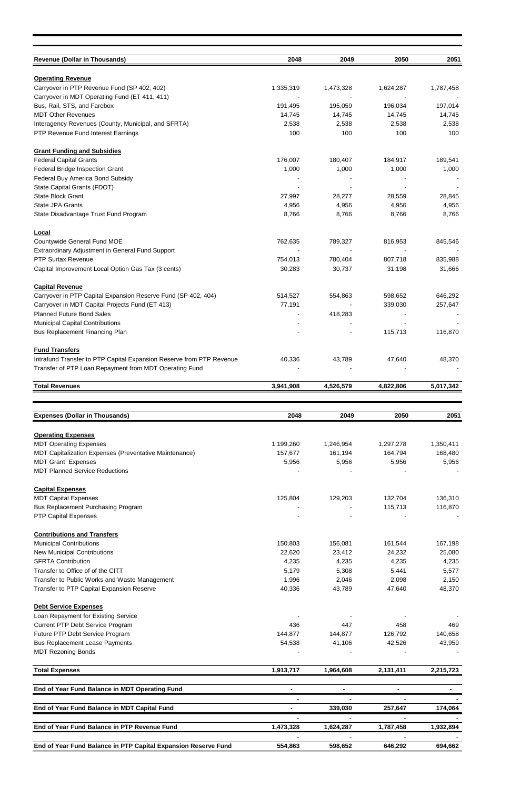| <b>Revenue (Dollar in Thousands)</b>                                     | 2048           | 2049           | 2050           | 2051           |
|--------------------------------------------------------------------------|----------------|----------------|----------------|----------------|
|                                                                          |                |                |                |                |
| <b>Operating Revenue</b><br>Carryover in PTP Revenue Fund (SP 402, 402)  | 1,335,319      | 1,473,328      | 1,624,287      | 1,787,458      |
| Carryover in MDT Operating Fund (ET 411, 411)                            |                |                |                |                |
| Bus, Rail, STS, and Farebox                                              | 191,495        | 195,059        | 196,034        | 197,014        |
| <b>MDT Other Revenues</b>                                                | 14,745         | 14,745         | 14,745         | 14,745         |
| Interagency Revenues (County, Municipal, and SFRTA)                      | 2,538          | 2,538          | 2,538          | 2,538          |
| PTP Revenue Fund Interest Earnings                                       | 100            | 100            | 100            | 100            |
| <b>Grant Funding and Subsidies</b>                                       |                |                |                |                |
| <b>Federal Capital Grants</b>                                            | 176,007        | 180,407        | 184,917        | 189,541        |
| Federal Bridge Inspection Grant                                          | 1,000          | 1,000          | 1,000          | 1,000          |
| Federal Buy America Bond Subsidy                                         |                |                |                |                |
| State Capital Grants (FDOT)                                              |                |                |                |                |
| State Block Grant                                                        | 27,997         | 28,277         | 28,559         | 28,845         |
| State JPA Grants                                                         | 4,956          | 4,956          | 4,956          | 4,956          |
| State Disadvantage Trust Fund Program                                    | 8,766          | 8,766          | 8,766          | 8,766          |
| Local                                                                    |                |                |                |                |
| Countywide General Fund MOE                                              | 762,635        | 789,327        | 816,953        | 845,546        |
| <b>Extraordinary Adjustment in General Fund Support</b>                  |                |                |                |                |
| <b>PTP Surtax Revenue</b>                                                | 754,013        | 780,404        | 807,718        | 835,988        |
| Capital Improvement Local Option Gas Tax (3 cents)                       | 30,283         | 30,737         | 31,198         | 31,666         |
| <b>Capital Revenue</b>                                                   |                |                |                |                |
| Carryover in PTP Capital Expansion Reserve Fund (SP 402, 404)            | 514,527        | 554,863        | 598,652        | 646,292        |
| Carryover in MDT Capital Projects Fund (ET 413)                          | 77,191         |                | 339,030        | 257,647        |
| <b>Planned Future Bond Sales</b>                                         |                | 418,283        |                |                |
| <b>Municipal Capital Contributions</b>                                   |                |                |                |                |
| <b>Bus Replacement Financing Plan</b>                                    |                |                | 115,713        | 116,870        |
| <b>Fund Transfers</b>                                                    |                |                |                |                |
| Intrafund Transfer to PTP Capital Expansion Reserve from PTP Revenue     | 40,336         | 43,789         | 47,640         | 48,370         |
| Transfer of PTP Loan Repayment from MDT Operating Fund                   |                |                |                |                |
| <b>Total Revenues</b>                                                    | 3,941,908      | 4,526,579      | 4,822,806      | 5,017,342      |
|                                                                          |                |                |                |                |
|                                                                          |                |                |                |                |
|                                                                          |                |                |                |                |
| <b>Expenses (Dollar in Thousands)</b>                                    | 2048           | 2049           | 2050           | 2051           |
| <b>Operating Expenses</b>                                                |                |                |                |                |
| <b>MDT Operating Expenses</b>                                            | 1,199,260      | 1,246,954      | 1,297,278      | 1,350,411      |
| MDT Capitalization Expenses (Preventative Maintenance)                   | 157,677        | 161,194        | 164,794        | 168,480        |
| <b>MDT Grant Expenses</b><br><b>MDT Planned Service Reductions</b>       | 5,956          | 5,956          | 5,956          | 5,956          |
|                                                                          |                |                |                |                |
| <b>Capital Expenses</b>                                                  |                |                |                |                |
| <b>MDT Capital Expenses</b>                                              | 125,804        | 129,203        | 132,704        | 136,310        |
| <b>Bus Replacement Purchasing Program</b><br><b>PTP Capital Expenses</b> |                |                | 115,713        | 116,870        |
|                                                                          |                |                |                |                |
| <b>Contributions and Transfers</b>                                       |                |                |                |                |
| <b>Municipal Contributions</b>                                           | 150,803        | 156,081        | 161,544        | 167,198        |
| <b>New Municipal Contributions</b><br><b>SFRTA Contribution</b>          | 22,620         | 23,412         | 24,232         | 25,080         |
| Transfer to Office of of the CITT                                        | 4,235<br>5,179 | 4,235<br>5,308 | 4,235          | 4,235          |
| Transfer to Public Works and Waste Management                            | 1,996          | 2,046          | 5,441<br>2,098 | 5,577<br>2,150 |
| Transfer to PTP Capital Expansion Reserve                                | 40,336         | 43,789         | 47,640         | 48,370         |
| <b>Debt Service Expenses</b>                                             |                |                |                |                |
| Loan Repayment for Existing Service                                      |                |                |                |                |
| Current PTP Debt Service Program                                         | 436            | 447            | 458            | 469            |
| Future PTP Debt Service Program                                          | 144,877        | 144,877        | 126,792        | 140,658        |
| <b>Bus Replacement Lease Payments</b>                                    | 54,538         | 41,106         | 42,526         | 43,959         |
| <b>MDT Rezoning Bonds</b>                                                |                |                |                |                |
| <b>Total Expenses</b>                                                    | 1,913,717      | 1,964,608      | 2,131,411      | 2,215,723      |
|                                                                          |                |                |                |                |
| End of Year Fund Balance in MDT Operating Fund                           |                |                |                |                |
| End of Year Fund Balance in MDT Capital Fund                             | $\blacksquare$ | 339,030        | 257,647        | 174,064        |
| End of Year Fund Balance in PTP Revenue Fund                             | 1,473,328      | 1,624,287      | 1,787,458      | 1,932,894      |
| End of Year Fund Balance in PTP Capital Expansion Reserve Fund           | 554,863        | 598,652        | 646,292        | 694,662        |